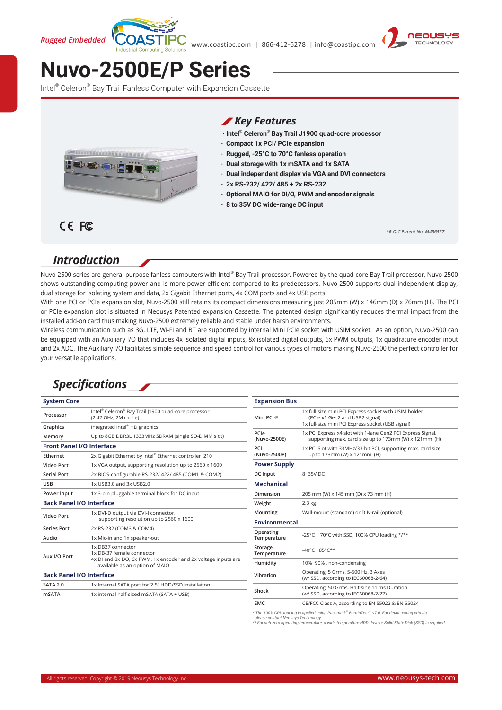*Rugged Embedded* 





# **[Nuvo-2500E/P Series](https://www.neousys-tech.com/product/application/rugged-embedded/nuvo-2500/?utm_source=datasheet&utm_medium=social&utm_campaign=nuvo2500)**

Intel® Celeron® Bay Trail Fanless Computer with Expansion Cassette



#### *Key Features*

- **‧ Intel® Celeron® Bay Trail J1900 quad-core processor**
- **‧ Compact 1x PCI/ PCIe expansion**
- **‧ Rugged, -25°C to 70°C fanless operation**
- **‧ Dual storage with 1x mSATA and 1x SATA**
- **‧ Dual independent display via VGA and DVI connectors**
- **‧ 2x RS-232/ 422/ 485 + 2x RS-232**
- **‧ Optional MAIO for DI/O, PWM and encoder signals**
- **‧ 8 to 35V DC wide-range DC input**

*\*R.O.C Patent No. M456527*

## *Introduction*

CE FC

Nuvo-2500 series are general purpose fanless computers with Intel® Bay Trail processor. Powered by the quad-core Bay Trail processor, Nuvo-2500 shows outstanding computing power and is more power efficient compared to its predecessors. Nuvo-2500 supports dual independent display, dual storage for isolating system and data, 2x Gigabit Ethernet ports, 4x COM ports and 4x USB ports.

With one PCI or PCIe expansion slot, Nuvo-2500 still retains its compact dimensions measuring just 205mm (W) x 146mm (D) x 76mm (H). The PCI or PCIe expansion slot is situated in Neousys Patented expansion Cassette. The patented design significantly reduces thermal impact from the installed add-on card thus making Nuvo-2500 extremely reliable and stable under harsh environments.

Wireless communication such as 3G, LTE, Wi-Fi and BT are supported by internal Mini PCIe socket with USIM socket. As an option, Nuvo-2500 can be equipped with an Auxiliary I/O that includes 4x isolated digital inputs, 8x isolated digital outputs, 6x PWM outputs, 1x quadrature encoder input and 2x ADC. The Auxiliary I/O facilitates simple sequence and speed control for various types of motors making Nuvo-2500 the perfect controller for your versatile applications.

## *Specifications*

| <b>System Core</b>               |                                                                                                             | <b>Expansion Bus</b>             |                                                                                                                      |
|----------------------------------|-------------------------------------------------------------------------------------------------------------|----------------------------------|----------------------------------------------------------------------------------------------------------------------|
| Processor                        | Intel® Celeron® Bay Trail J1900 quad-core processor<br>(2.42 GHz, 2M cache)                                 | Mini PCI-E                       | 1x full-size mini PCI Express socket with USIM holder<br>(PCle x1 Gen2 and USB2 signal)                              |
| Graphics                         | Integrated Intel® HD graphics                                                                               |                                  | 1x full-size mini PCI Express socket (USB signal)                                                                    |
| Memory                           | Up to 8GB DDR3L 1333MHz SDRAM (single SO-DIMM slot)                                                         | PCIe<br>(Nuvo-2500E)             | 1x PCI Express x4 slot with 1-lane Gen2 PCI Express Signal,<br>supporting max. card size up to 173mm (W) x 121mm (H) |
| <b>Front Panel I/O Interface</b> |                                                                                                             | PCI                              | 1x PCI Slot with 33MHz/33-bit PCI, supporting max. card size                                                         |
| Ethernet                         | 2x Gigabit Ethernet by Intel® Ethernet controller I210                                                      | (Nuvo-2500P)                     | up to 173mm (W) x 121mm (H)                                                                                          |
| <b>Video Port</b>                | 1x VGA output, supporting resolution up to 2560 x 1600                                                      | <b>Power Supply</b>              |                                                                                                                      |
| <b>Serial Port</b>               | 2x BIOS-configurable RS-232/ 422/ 485 (COM1 & COM2)                                                         | DC Input                         | 8~35V DC                                                                                                             |
| <b>USB</b>                       | 1x USB3.0 and 3x USB2.0                                                                                     | <b>Mechanical</b>                |                                                                                                                      |
| Power Input                      | 1x 3-pin pluggable terminal block for DC input                                                              | Dimension                        | 205 mm (W) x 145 mm (D) x 73 mm (H)                                                                                  |
| <b>Back Panel I/O Interface</b>  |                                                                                                             | Weight                           | 2.3 kg                                                                                                               |
| <b>Video Port</b>                | 1x DVI-D output via DVI-I connector,<br>supporting resolution up to 2560 x 1600                             | Mounting<br><b>Environmental</b> | Wall-mount (standard) or DIN-rail (optional)                                                                         |
| <b>Series Port</b>               | 2x RS-232 (COM3 & COM4)                                                                                     |                                  |                                                                                                                      |
| Audio                            | 1x Mic-in and 1x speaker-out                                                                                | Operating<br>Temperature         | -25°C ~ 70°C with SSD, 100% CPU loading */**                                                                         |
| Aux I/O Port                     | 1x DB37 connector<br>1x DB-37 female connector                                                              | Storage<br>Temperature           | -40°C ~85°C**                                                                                                        |
|                                  | 4x DI and 8x DO, 6x PWM, 1x encoder and 2x voltage inputs are<br>Humidity<br>available as an option of MAIO |                                  | 10%~90%, non-condensing                                                                                              |
| <b>Back Panel I/O Interface</b>  |                                                                                                             | Vibration                        | Operating, 5 Grms, 5-500 Hz, 3 Axes<br>(w/ SSD, according to IEC60068-2-64)                                          |
| <b>SATA 2.0</b>                  | 1x Internal SATA port for 2.5" HDD/SSD installation                                                         | Shock                            | Operating, 50 Grms, Half-sine 11 ms Duration<br>(w/ SSD, according to IEC60068-2-27)                                 |
| <b>mSATA</b>                     | 1x internal half-sized mSATA (SATA + USB)                                                                   |                                  |                                                                                                                      |
|                                  |                                                                                                             | <b>EMC</b>                       | CE/FCC Class A, according to EN 55022 & EN 55024                                                                     |

\* The 100% CPU loading is applied using Passmark® BurnInTest™ v7.0. For detail testing criteria,<br>\_please contact Neousys Technology<br>\*\* For sub-zero operating temperature, a wide temperature HDD drive or Solid State Disk (S